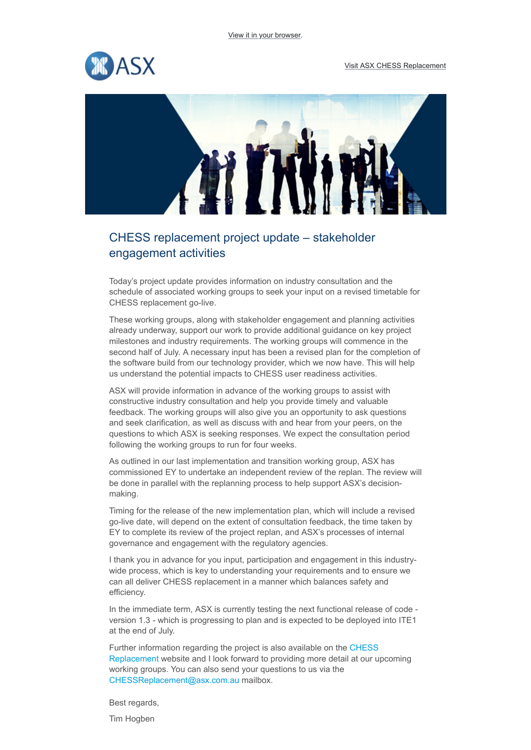



## CHESS replacement project update – stakeholder engagement activities

Today's project update provides information on industry consultation and the schedule of associated working groups to seek your input on a revised timetable for CHESS replacement go-live.

These working groups, along with stakeholder engagement and planning activities already underway, support our work to provide additional guidance on key project milestones and industry requirements. The working groups will commence in the second half of July. A necessary input has been a revised plan for the completion of the software build from our technology provider, which we now have. This will help us understand the potential impacts to CHESS user readiness activities.

ASX will provide information in advance of the working groups to assist with constructive industry consultation and help you provide timely and valuable feedback. The working groups will also give you an opportunity to ask questions and seek clarification, as well as discuss with and hear from your peers, on the questions to which ASX is seeking responses. We expect the consultation period following the working groups to run for four weeks.

As outlined in our last implementation and transition working group, ASX has commissioned EY to undertake an independent review of the replan. The review will be done in parallel with the replanning process to help support ASX's decisionmaking.

Timing for the release of the new implementation plan, which will include a revised go-live date, will depend on the extent of consultation feedback, the time taken by EY to complete its review of the project replan, and ASX's processes of internal governance and engagement with the regulatory agencies.

I thank you in advance for you input, participation and engagement in this industrywide process, which is key to understanding your requirements and to ensure we can all deliver CHESS replacement in a manner which balances safety and efficiency.

In the immediate term, ASX is currently testing the next functional release of code version 1.3 - which is progressing to plan and is expected to be deployed into ITE1 at the end of July.

[Further information regarding the project is also available on the CHESS](https://click.marketing.asx.com.au/?qs=6743b812f57080162834feb3fc2b9175eea036fb98270981f10cce27468b40e8a4330b6f87bcc97fd4cbbcfd75578081a91e58c8741b2019) Replacement website and I look forward to providing more detail at our upcoming working groups. You can also send your questions to us via the [CHESSReplacement@asx.com.au](mailto:CHESSReplacement@asx.com.au?subject=CHESS%20Replacement%20enquiry) mailbox.

Best regards,

Tim Hogben